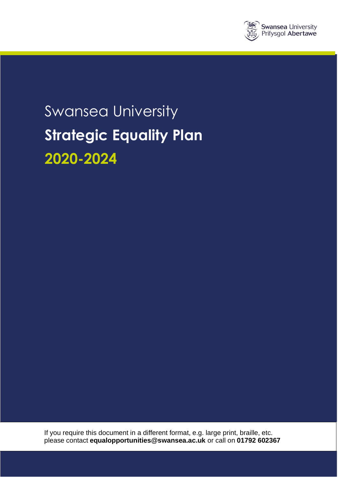

# Swansea University **Strategic Equality Plan 2020-2024**

If you require this document in a different format, e.g. large print, braille, etc. please contact **[equalopportunities@swansea.ac.uk](mailto:equalopportunities@swansea.ac.uk)** or call on **01792 602367**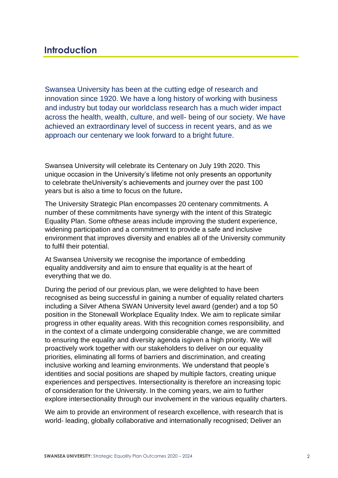# **Introduction**

Swansea University has been at the cutting edge of research and innovation since 1920. We have a long history of working with business and industry but today our worldclass research has a much wider impact across the health, wealth, culture, and well- being of our society. We have achieved an extraordinary level of success in recent years, and as we approach our centenary we look forward to a bright future.

Swansea University will celebrate its Centenary on July 19th 2020. This unique occasion in the University's lifetime not only presents an opportunity to celebrate theUniversity's achievements and journey over the past 100 years but is also a time to focus on the future**.**

The University Strategic Plan encompasses 20 centenary commitments. A number of these commitments have synergy with the intent of this Strategic Equality Plan. Some ofthese areas include improving the student experience, widening participation and a commitment to provide a safe and inclusive environment that improves diversity and enables all of the University community to fulfil their potential.

At Swansea University we recognise the importance of embedding equality anddiversity and aim to ensure that equality is at the heart of everything that we do.

During the period of our previous plan, we were delighted to have been recognised as being successful in gaining a number of equality related charters including a Silver Athena SWAN University level award (gender) and a top 50 position in the Stonewall Workplace Equality Index. We aim to replicate similar progress in other equality areas. With this recognition comes responsibility, and in the context of a climate undergoing considerable change, we are committed to ensuring the equality and diversity agenda isgiven a high priority. We will proactively work together with our stakeholders to deliver on our equality priorities, eliminating all forms of barriers and discrimination, and creating inclusive working and learning environments. We understand that people's identities and social positions are shaped by multiple factors, creating unique experiences and perspectives. Intersectionality is therefore an increasing topic of consideration for the University. In the coming years, we aim to further explore intersectionality through our involvement in the various equality charters.

We aim to provide an environment of research excellence, with research that is world- leading, globally collaborative and internationally recognised; Deliver an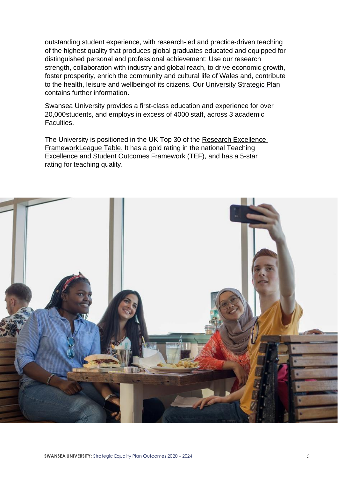outstanding student experience, with research-led and practice-driven teaching of the highest quality that produces global graduates educated and equipped for distinguished personal and professional achievement; Use our research strength, collaboration with industry and global reach, to drive economic growth, foster prosperity, enrich the community and cultural life of Wales and, contribute to the health, leisure and wellbeingof its citizens. Our [University](https://www.swansea.ac.uk/media/strategic-plan-2020-english.pdf) Strategic Plan contains further information.

Swansea University provides a first-class education and experience for over 20,000students, and employs in excess of 4000 staff, across 3 academic Faculties.

The University is positioned in the UK Top 30 of the [Research Excellence](http://www.swansea.ac.uk/media-centre/news-archive/2014/swansearesearchbreaksintouktop30researchexcellenceframeworkref2014.php?utm_source=what-uni-profile&utm_medium=ref&utm_campaign=icons-2016)  [FrameworkLeague Table.](http://www.swansea.ac.uk/media-centre/news-archive/2014/swansearesearchbreaksintouktop30researchexcellenceframeworkref2014.php?utm_source=what-uni-profile&utm_medium=ref&utm_campaign=icons-2016) It has a gold rating in the national Teaching Excellence and Student Outcomes Framework (TEF), and has a 5-star rating for teaching quality.

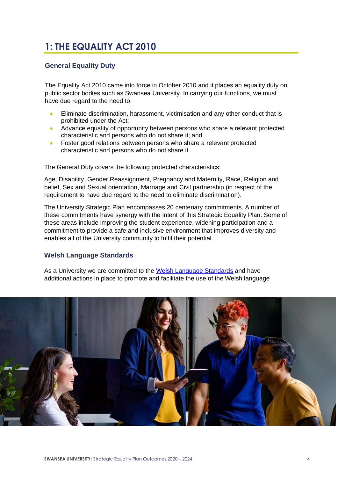# **1: THE EQUALITY ACT 2010**

# **General Equality Duty**

The Equality Act 2010 came into force in October 2010 and it places an equality duty on public sector bodies such as Swansea University. In carrying our functions, we must have due regard to the need to:

- Eliminate discrimination, harassment, victimisation and any other conduct that is prohibited under the Act;
- Advance equality of opportunity between persons who share a relevant protected characteristic and persons who do not share it; and
- Foster good relations between persons who share a relevant protected characteristic and persons who do not share it.

The General Duty covers the following protected characteristics:

Age, Disability, Gender Reassignment, Pregnancy and Maternity, Race, Religion and belief, Sex and Sexual orientation, Marriage and Civil partnership (in respect of the requirement to have due regard to the need to eliminate discrimination).

The University Strategic Plan encompasses 20 centenary commitments. A number of these commitments have synergy with the intent of this Strategic Equality Plan. Some of these areas include improving the student experience, widening participation and a commitment to provide a safe and inclusive environment that improves diversity and enables all of the University community to fulfil their potential.

# **Welsh Language Standards**

As a University we are committed to the [Welsh Language Standards](https://www.swansea.ac.uk/welsh-language-standards/what-are-the-welsh-language-standards/) and have additional actions in place to promote and facilitate the use of the Welsh language

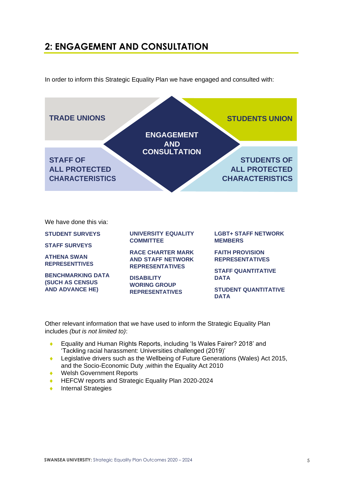# **2: ENGAGEMENT AND CONSULTATION**

In order to inform this Strategic Equality Plan we have engaged and consulted with:



**(SUCH AS CENSUS AND ADVANCE HE)**

**WORING GROUP REPRESENTATIVES**

**STUDENT QUANTITATIVE DATA**

Other relevant information that we have used to inform the Strategic Equality Plan includes *(but is not limited to)*:

- Equality and Human Rights Reports, including 'Is Wales Fairer? 2018' and 'Tackling racial harassment: Universities challenged (2019)'
- ◆ Legislative drivers such as the Wellbeing of Future Generations (Wales) Act 2015, and the Socio-Economic Duty ,within the Equality Act 2010
- ◆ Welsh Government Reports
- ◆ HEFCW reports and Strategic Equality Plan 2020-2024
- ◆ Internal Strategies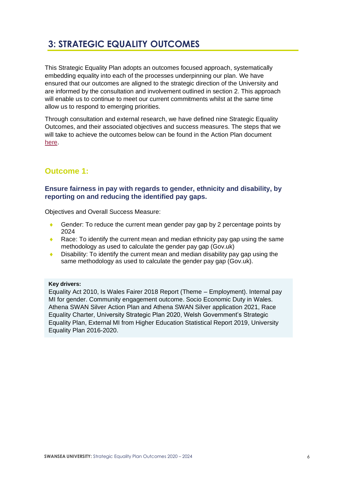# **3: STRATEGIC EQUALITY OUTCOMES**

This Strategic Equality Plan adopts an outcomes focused approach, systematically embedding equality into each of the processes underpinning our plan. We have ensured that our outcomes are aligned to the strategic direction of the University and are informed by the consultation and involvement outlined in section 2. This approach will enable us to continue to meet our current commitments whilst at the same time allow us to respond to emerging priorities.

Through consultation and external research, we have defined nine Strategic Equality Outcomes, and their associated objectives and success measures. The steps that we will take to achieve the outcomes below can be found in the Action Plan document [here.](https://www.swansea.ac.uk/media/SEP-Action-Plan-2020-2024.pdf)

# **Outcome 1:**

# **Ensure fairness in pay with regards to gender, ethnicity and disability, by reporting on and reducing the identified pay gaps.**

Objectives and Overall Success Measure:

- Gender: To reduce the current mean gender pay gap by 2 percentage points by 2024
- Race: To identify the current mean and median ethnicity pay gap using the same methodology as used to calculate the gender pay gap (Gov.uk)
- ◆ Disability: To identify the current mean and median disability pay gap using the same methodology as used to calculate the gender pay gap (Gov.uk).

# **Key drivers:**

Equality Act 2010, Is Wales Fairer 2018 Report (Theme – Employment). Internal pay MI for gender. Community engagement outcome. Socio Economic Duty in Wales. Athena SWAN Silver Action Plan and Athena SWAN Silver application 2021, Race Equality Charter, University Strategic Plan 2020, Welsh Government's Strategic Equality Plan, External MI from Higher Education Statistical Report 2019, University Equality Plan 2016-2020.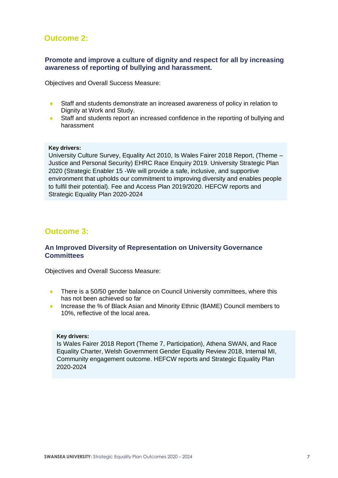# **Outcome 2:**

# **Promote and improve a culture of dignity and respect for all by increasing awareness of reporting of bullying and harassment.**

Objectives and Overall Success Measure:

- Staff and students demonstrate an increased awareness of policy in relation to Dignity at Work and Study.
- ♦ Staff and students report an increased confidence in the reporting of bullying and harassment

#### **Key drivers:**

University Culture Survey, Equality Act 2010, Is Wales Fairer 2018 Report, (Theme – Justice and Personal Security) EHRC Race Enquiry 2019. University Strategic Plan 2020 (Strategic Enabler 15 -We will provide a safe, inclusive, and supportive environment that upholds our commitment to improving diversity and enables people to fulfil their potential). Fee and Access Plan 2019/2020. HEFCW reports and Strategic Equality Plan 2020-2024

# **Outcome 3:**

# **An Improved Diversity of Representation on University Governance Committees**

Objectives and Overall Success Measure:

- There is a 50/50 gender balance on Council University committees, where this has not been achieved so far
- ◆ Increase the % of Black Asian and Minority Ethnic (BAME) Council members to 10%, reflective of the local area.

#### **Key drivers:**

Is Wales Fairer 2018 Report (Theme 7, Participation), Athena SWAN, and Race Equality Charter, Welsh Government Gender Equality Review 2018, Internal MI, Community engagement outcome. HEFCW reports and Strategic Equality Plan 2020-2024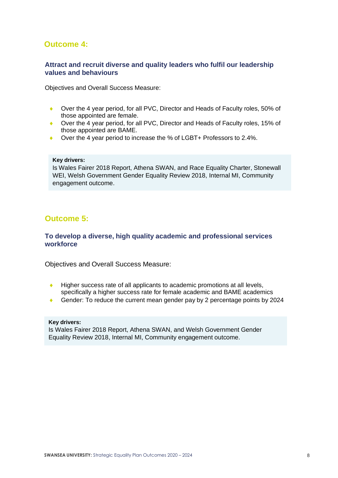# **Outcome 4:**

# **Attract and recruit diverse and quality leaders who fulfil our leadership values and behaviours**

Objectives and Overall Success Measure:

- ◆ Over the 4 year period, for all PVC, Director and Heads of Faculty roles, 50% of those appointed are female.
- ◆ Over the 4 year period, for all PVC, Director and Heads of Faculty roles, 15% of those appointed are BAME.
- ◆ Over the 4 year period to increase the % of LGBT+ Professors to 2.4%.

#### **Key drivers:**

Is Wales Fairer 2018 Report, Athena SWAN, and Race Equality Charter, Stonewall WEI, Welsh Government Gender Equality Review 2018, Internal MI, Community engagement outcome.

# **Outcome 5:**

# **To develop a diverse, high quality academic and professional services workforce**

Objectives and Overall Success Measure:

- $\bullet$  Higher success rate of all applicants to academic promotions at all levels, specifically a higher success rate for female academic and BAME academics
- Gender: To reduce the current mean gender pay by 2 percentage points by 2024

#### **Key drivers:**

Is Wales Fairer 2018 Report, Athena SWAN, and Welsh Government Gender Equality Review 2018, Internal MI, Community engagement outcome.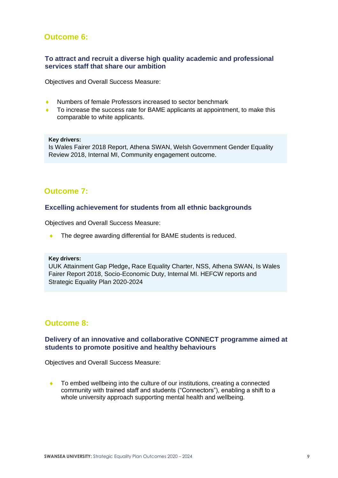# **Outcome 6:**

# **To attract and recruit a diverse high quality academic and professional services staff that share our ambition**

Objectives and Overall Success Measure:

- Numbers of female Professors increased to sector benchmark
- To increase the success rate for BAME applicants at appointment, to make this comparable to white applicants.

#### **Key drivers:**

Is Wales Fairer 2018 Report, Athena SWAN, Welsh Government Gender Equality Review 2018, Internal MI, Community engagement outcome.

# **Outcome 7:**

#### **Excelling achievement for students from all ethnic backgrounds**

Objectives and Overall Success Measure:

◆ The degree awarding differential for BAME students is reduced.

#### **Key drivers:**

UUK Attainment Gap Pledge**,** Race Equality Charter, NSS, Athena SWAN, Is Wales Fairer Report 2018, Socio-Economic Duty, Internal MI. HEFCW reports and Strategic Equality Plan 2020-2024

# **Outcome 8:**

## **Delivery of an innovative and collaborative CONNECT programme aimed at students to promote positive and healthy behaviours**

Objectives and Overall Success Measure:

◆ To embed wellbeing into the culture of our institutions, creating a connected community with trained staff and students ("Connectors"), enabling a shift to a whole university approach supporting mental health and wellbeing.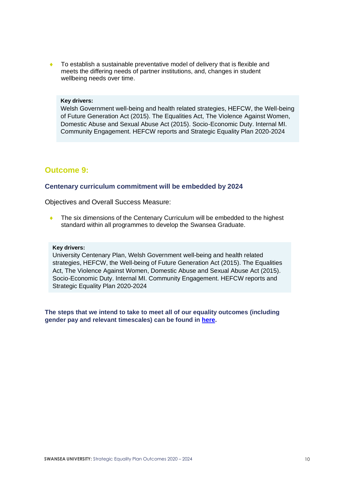To establish a sustainable preventative model of delivery that is flexible and meets the differing needs of partner institutions, and, changes in student wellbeing needs over time.

#### **Key drivers:**

Welsh Government well-being and health related strategies, HEFCW, the Well-being of Future Generation Act (2015). The Equalities Act, The Violence Against Women, Domestic Abuse and Sexual Abuse Act (2015). Socio-Economic Duty. Internal MI. Community Engagement. HEFCW reports and Strategic Equality Plan 2020-2024

# **Outcome 9:**

#### **Centenary curriculum commitment will be embedded by 2024**

Objectives and Overall Success Measure:

 The six dimensions of the Centenary Curriculum will be embedded to the highest standard within all programmes to develop the Swansea Graduate.

#### **Key drivers:**

University Centenary Plan, Welsh Government well-being and health related strategies, HEFCW, the Well-being of Future Generation Act (2015). The Equalities Act, The Violence Against Women, Domestic Abuse and Sexual Abuse Act (2015). Socio-Economic Duty. Internal MI. Community Engagement. HEFCW reports and Strategic Equality Plan 2020-2024

**The steps that we intend to take to meet all of our equality outcomes (including gender pay and relevant timescales) can be found in [here.](https://www.swansea.ac.uk/media/SEP-Action-Plan-2020-2024.pdf)**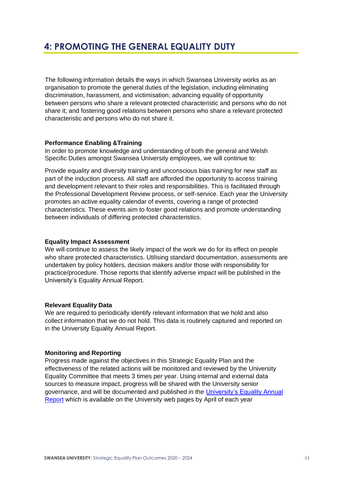The following information details the ways in which Swansea University works as an organisation to promote the general duties of the legislation, including eliminating discrimination, harassment, and victimisation; advancing equality of opportunity between persons who share a relevant protected characteristic and persons who do not share it; and fostering good relations between persons who share a relevant protected characteristic and persons who do not share it.

## **Performance Enabling &Training**

In order to promote knowledge and understanding of both the general and Welsh Specific Duties amongst Swansea University employees, we will continue to:

Provide equality and diversity training and unconscious bias training for new staff as part of the induction process. All staff are afforded the opportunity to access training and development relevant to their roles and responsibilities. This is facilitated through the Professional Development Review process, or self-service. Each year the University promotes an active equality calendar of events, covering a range of protected characteristics. These events aim to foster good relations and promote understanding between individuals of differing protected characteristics.

### **Equality Impact Assessment**

We will continue to assess the likely impact of the work we do for its effect on people who share protected characteristics. Utilising standard documentation, assessments are undertaken by policy holders, decision makers and/or those with responsibility for practice/procedure. Those reports that identify adverse impact will be published in the University's Equality Annual Report.

## **Relevant Equality Data**

We are required to periodically identify relevant information that we hold and also collect information that we do not hold. This data is routinely captured and reported on in the University Equality Annual Report.

#### **Monitoring and Reporting**

Progress made against the objectives in this Strategic Equality Plan and the effectiveness of the related actions will be monitored and reviewed by the University Equality Committee that meets 3 times per year. Using internal and external data sources to measure impact, progress will be shared with the University senior governance, and will be documented and published in the [University's Equality Annual](https://www.swansea.ac.uk/media/Equality-Annual-Report-2019.pdf) [Report](https://www.swansea.ac.uk/media/Equality-Annual-Report-2019.pdf) which is available on the University web pages by April of each year